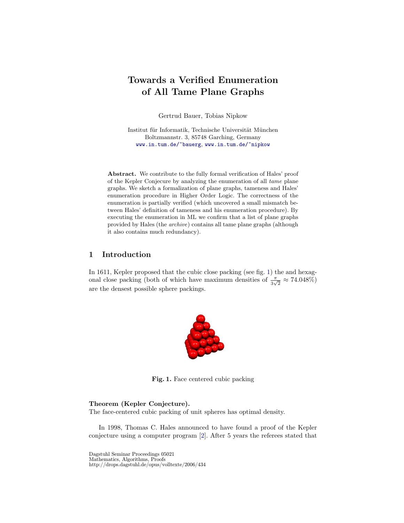# Towards a Verified Enumeration of All Tame Plane Graphs

Gertrud Bauer, Tobias Nipkow

Institut für Informatik, Technische Universität München Boltzmannstr. 3, 85748 Garching, Germany <www.in.tum.de/~bauerg>, <www.in.tum.de/~nipkow>

Abstract. We contribute to the fully formal verification of Hales' proof of the Kepler Conjecure by analyzing the enumeration of all tame plane graphs. We sketch a formalization of plane graphs, tameness and Hales' enumeration procedure in Higher Order Logic. The correctness of the enumeration is partially verified (which uncovered a small mismatch between Hales' definition of tameness and his enumeration procedure). By executing the enumeration in ML we confirm that a list of plane graphs provided by Hales (the archive) contains all tame plane graphs (although it also contains much redundancy).

# <span id="page-0-1"></span>1 Introduction

In 1611, Kepler proposed that the cubic close packing (see fig. [1\)](#page-0-0) the and hexagonal close packing (both of which have maximum densities of  $\frac{\pi}{3\sqrt{2}} \approx 74.048\%$ ) are the densest possible sphere packings.

<span id="page-0-0"></span>

Fig. 1. Face centered cubic packing

#### Theorem (Kepler Conjecture).

The face-centered cubic packing of unit spheres has optimal density.

In 1998, Thomas C. Hales announced to have found a proof of the Kepler conjecture using a computer program [\[2\]](#page-24-0). After 5 years the referees stated that

Dagstuhl Seminar Proceedings 05021 Mathematics, Algorithms, Proofs http://drops.dagstuhl.de/opus/volltexte/2006/434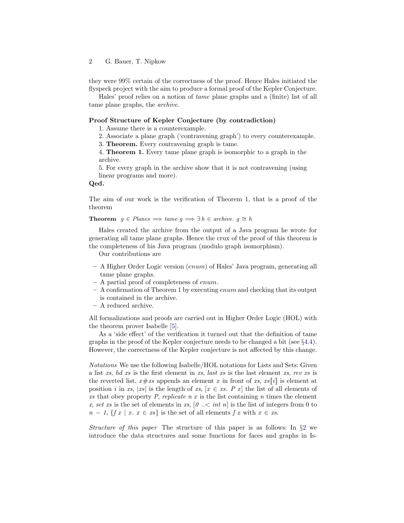they were 99% certain of the correctness of the proof. Hence Hales initiated the flyspeck project with the aim to produce a formal proof of the Kepler Conjecture.

Hales' proof relies on a notion of tame plane graphs and a (finite) list of all tame plane graphs, the archive.

## Proof Structure of Kepler Conjecture (by contradiction)

1. Assume there is a counterexample.

2. Associate a plane graph ('contravening graph') to every counterexample.

3. Theorem. Every contravening graph is tame.

4. Theorem 1. Every tame plane graph is isomorphic to a graph in the archive.

5. For every graph in the archive show that it is not contravening (using linear programs and more).

#### Qed.

The aim of our work is the verification of Theorem 1, that is a proof of the theorem

**Theorem**  $q \in Planes \implies \text{tame } q \implies \exists h \in \text{archive. } q \cong h$ 

Hales created the archive from the output of a Java program he wrote for generating all tame plane graphs. Hence the crux of the proof of this theorem is the completeness of his Java program (modulo graph isomorphism).

Our contributions are

- A Higher Order Logic version (enum) of Hales' Java program, generating all tame plane graphs.
- A partial proof of completeness of enum.
- $-$  A confirmation of Theorem 1 by executing enum and checking that its output is contained in the archive.
- A reduced archive.

All formalizations and proofs are carried out in Higher Order Logic (HOL) with the theorem prover Isabelle [\[5\]](#page-24-1).

As a 'side effect' of the verification it turned out that the definition of tame graphs in the proof of the Kepler conjecture needs to be changed a bit (see §[4.4\)](#page-15-0). However, the correctness of the Kepler conjecture is not affected by this change.

Notations We use the following Isabelle/HOL notations for Lists and Sets: Given a list xs, hd xs is the first element in xs, last xs is the last element xs, rev xs is the reverted list,  $x \# xs$  appends an element x in front of xs,  $xs[i]$  is element at position i in xs, |xs| is the length of xs,  $[x \in x_s]$ . P x he list of all elements of xs that obey property P, replicate n x is the list containing n times the element x, set xs is the set of elements in xs,  $[0 \dots \le int n]$  is the list of integers from 0 to  $n-1$ ,  $\{f x \mid x \in x\}$  is the set of all elements f x with  $x \in x$ .

Structure of this paper The structure of this paper is as follows: In  $\S 2$  $\S 2$  we introduce the data structures and some functions for faces and graphs in Is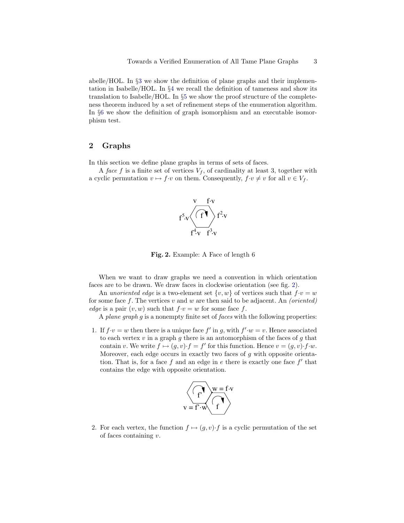abelle/HOL. In §[3](#page-6-0) we show the definition of plane graphs and their implementation in Isabelle/HOL. In §[4](#page-10-0) we recall the definition of tameness and show its translation to Isabelle/HOL. In §[5](#page-18-0) we show the proof structure of the completeness theorem induced by a set of refinement steps of the enumeration algorithm. In §[6](#page-22-0) we show the definition of graph isomorphism and an executable isomorphism test.

# <span id="page-2-0"></span>2 Graphs

In this section we define plane graphs in terms of sets of faces.

A face f is a finite set of vertices  $V_f$ , of cardinality at least 3, together with a cyclic permutation  $v \mapsto f \cdot v$  on them. Consequently,  $f \cdot v \neq v$  for all  $v \in V_f$ .



<span id="page-2-1"></span>Fig. 2. Example: A Face of length 6

When we want to draw graphs we need a convention in which orientation faces are to be drawn. We draw faces in clockwise orientation (see fig. [2\)](#page-2-1).

An unoriented edge is a two-element set  $\{v, w\}$  of vertices such that  $f \cdot v = w$ for some face  $f$ . The vertices  $v$  and  $w$  are then said to be adjacent. An *(oriented)* edge is a pair  $(v, w)$  such that  $f \cdot v = w$  for some face f.

A plane graph g is a nonempty finite set of faces with the following properties:

1. If  $f \cdot v = w$  then there is a unique face  $f'$  in g, with  $f' \cdot w = v$ . Hence associated to each vertex  $v$  in a graph  $g$  there is an automorphism of the faces of  $g$  that contain v. We write  $f \mapsto (g, v) \cdot f = f'$  for this function. Hence  $v = (g, v) \cdot f \cdot w$ . Moreover, each edge occurs in exactly two faces of  $g$  with opposite orientation. That is, for a face  $f$  and an edge in  $e$  there is exactly one face  $f'$  that contains the edge with opposite orientation.



2. For each vertex, the function  $f \mapsto (g, v) \cdot f$  is a cyclic permutation of the set of faces containing v.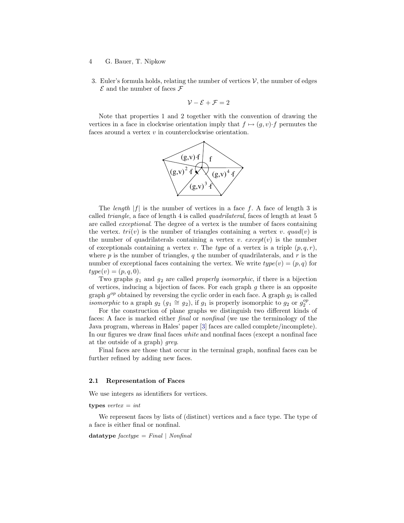- 4 G. Bauer, T. Nipkow
- 3. Euler's formula holds, relating the number of vertices  $\mathcal{V}$ , the number of edges  $\mathcal E$  and the number of faces  $\mathcal F$

$$
\mathcal{V} - \mathcal{E} + \mathcal{F} = 2
$$

Note that properties 1 and 2 together with the convention of drawing the vertices in a face in clockwise orientation imply that  $f \mapsto (g, v) \cdot f$  permutes the faces around a vertex v in counterclockwise orientation.



The *length*  $|f|$  is the number of vertices in a face f. A face of length 3 is called *triangle*, a face of length 4 is called *quadrilateral*, faces of length at least 5 are called exceptional. The degree of a vertex is the number of faces containing the vertex.  $tri(v)$  is the number of triangles containing a vertex v. quad(v) is the number of quadrilaterals containing a vertex v.  $except(v)$  is the number of exceptionals containing a vertex v. The type of a vertex is a triple  $(p, q, r)$ , where p is the number of triangles, q the number of quadrilaterals, and r is the number of exceptional faces containing the vertex. We write  $type(v) = (p, q)$  for  $type(v) = (p, q, 0).$ 

Two graphs  $g_1$  and  $g_2$  are called *properly isomorphic*, if there is a bijection of vertices, inducing a bijection of faces. For each graph  $g$  there is an opposite graph  $g^{op}$  obtained by reversing the cyclic order in each face. A graph  $g_1$  is called *isomorphic* to a graph  $g_2$   $(g_1 \cong g_2)$ , if  $g_1$  is properly isomorphic to  $g_2$  or  $g_2^{op}$ .

For the construction of plane graphs we distinguish two different kinds of faces: A face is marked either final or nonfinal (we use the terminology of the Java program, whereas in Hales' paper [\[3\]](#page-24-2) faces are called complete/incomplete). In our figures we draw final faces white and nonfinal faces (except a nonfinal face at the outside of a graph) grey.

Final faces are those that occur in the terminal graph, nonfinal faces can be further refined by adding new faces.

#### 2.1 Representation of Faces

We use integers as identifiers for vertices.

#### types  $vertex = int$

We represent faces by lists of (distinct) vertices and a face type. The type of a face is either final or nonfinal.

datatype  $facetype = Final | Nonfinal$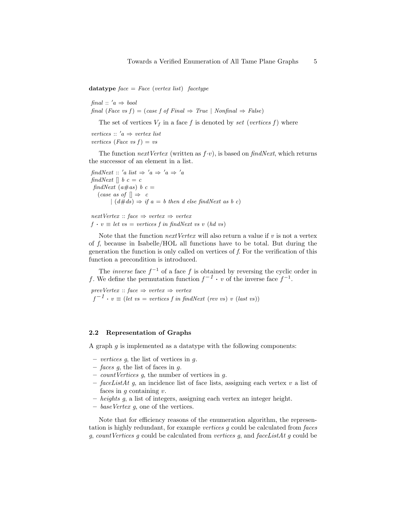datatype  $face = Face$  (vertex list) facetype

final ::  $'a \Rightarrow bool$ final (Face vs f) = (case f of Final  $\Rightarrow$  True | Nonfinal  $\Rightarrow$  False)

The set of vertices  $V_f$  in a face f is denoted by set (vertices f) where

vertices ::  $'a \Rightarrow vertex \; list$ vertices (Face vs  $f$ ) = vs

The function next Vertex (written as  $f \cdot v$ ), is based on findNext, which returns the successor of an element in a list.

findNext :: 'a list  $\Rightarrow$  'a  $\Rightarrow$  'a  $\Rightarrow$  'a findNext  $\parallel$  b  $c = c$ findNext  $(a \# as) b c =$ (case as of  $\parallel \Rightarrow c$  $(d\#ds) \Rightarrow if a = b then d else findNext as b c)$ 

 $nextVertex :: face \Rightarrow vertex \Rightarrow vertex$  $f \cdot v \equiv let \text{ } vs = \text{ } vertices \text{ } f \text{ } in \text{ } findNext \text{ } vs \text{ } v \text{ } (hd \text{ } vs \text{ } )$ 

Note that the function  $nextVertex$  will also return a value if  $v$  is not a vertex of f, because in Isabelle/HOL all functions have to be total. But during the generation the function is only called on vertices of f. For the verification of this function a precondition is introduced.

The *inverse* face  $f^{-1}$  of a face f is obtained by reversing the cyclic order in f. We define the permutation function  $f^{-1} \cdot v$  of the inverse face  $f^{-1}$ .

 $prevVertex :: face \Rightarrow vertex \Rightarrow vertex$  $f^{-1} \cdot v \equiv (let \ vs = \ vertices \ f \ in \ findNext \ (rev \ vs) \ v \ (last \ vs))$ 

#### 2.2 Representation of Graphs

A graph  $q$  is implemented as a datatype with the following components:

- vertices g, the list of vertices in g.
- faces g, the list of faces in g.
- *count Vertices*  $g$ , the number of vertices in  $g$ .
- faceListAt g, an incidence list of face lists, assigning each vertex v a list of faces in  $q$  containing  $v$ .
- heights g, a list of integers, assigning each vertex an integer height.
- baseVertex  $g$ , one of the vertices.

Note that for efficiency reasons of the enumeration algorithm, the representation is highly redundant, for example vertices g could be calculated from faces g, countVertices g could be calculated from vertices g, and faceListAt g could be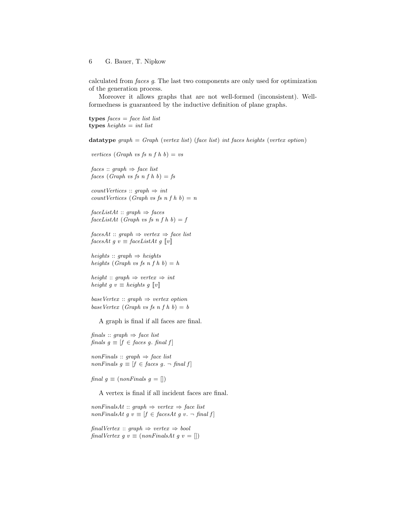calculated from faces g. The last two components are only used for optimization of the generation process.

Moreover it allows graphs that are not well-formed (inconsistent). Wellformedness is guaranteed by the inductive definition of plane graphs.

types  $faces = face list list$ types heights  $=$  int list

datatype graph = Graph (vertex list) (face list) int faces heights (vertex option)

vertices (Graph vs fs n f h b) = vs  $faces :: graph \Rightarrow face list$ faces (Graph vs fs n f h b) = fs

 $countVertices :: graph \Rightarrow int$  $countVertices$  (Graph vs fs n f h b) = n

 $faceListAt :: graph \Rightarrow faces$  $faceListAt (Graph vs fs n f h b) = f$ 

 $facesAt :: graph \Rightarrow vertex \Rightarrow face list$ facesAt g v  $\equiv$  faceListAt g  $\llbracket v \rrbracket$ 

heights :: graph  $\Rightarrow$  heights heights (Graph vs fs n f h b) = h

height :: graph  $\Rightarrow$  vertex  $\Rightarrow$  int height g v  $\equiv$  heights g  $\llbracket v \rrbracket$ 

baseVertex :: graph  $\Rightarrow$  vertex option baseVertex (Graph vs fs n f h b) = b

A graph is final if all faces are final.

finals :: graph  $\Rightarrow$  face list finals  $g \equiv [f \in \text{faces } g \text{ and } f]$ 

 $nonFinals :: graph \Rightarrow face list$ nonFinals  $g \equiv [f \in \text{faces } g. \neg \text{ final } f]$ 

final  $g \equiv (nonFinals \ g = []$ 

A vertex is final if all incident faces are final.

 $nonFinalsAt :: graph \Rightarrow vertex \Rightarrow face list$  $nonFinalsAt g v \equiv [f \in facesAt g v. \neg final f]$ 

 $finalVertex :: graph \Rightarrow vertex \Rightarrow bool$ finalVertex  $g \, v \equiv (nonFinalsAt \, g \, v = []$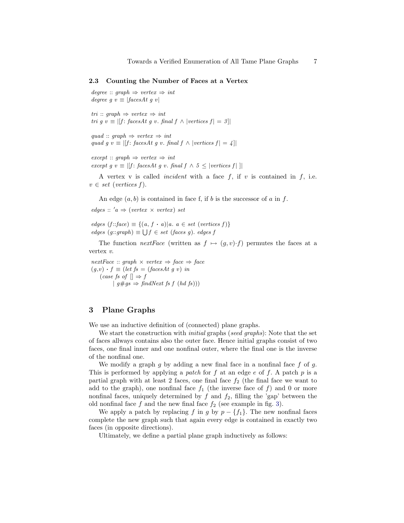#### 2.3 Counting the Number of Faces at a Vertex

```
degree :: graph \Rightarrow vertex \Rightarrow int
degree q v \equiv |facesAt q v|
```
tri :: graph  $\Rightarrow$  vertex  $\Rightarrow$  int tri g v  $\equiv |[f:facesAt\ g\ v.\ final\ f \wedge |vertices\ f| = 3]|$ 

```
quad :: graph \Rightarrow vertex \Rightarrow int
quad g v \equiv |[f: facesAt g v. final f \land |vertices f| = 4|]
```
 $except :: graph \Rightarrow vertex \Rightarrow int$ except g v  $\equiv$  |[f: facesAt g v. final f  $\land$  5  $\leq$  |vertices f| ||

A vertex v is called *incident* with a face  $f$ , if  $v$  is contained in  $f$ , i.e.  $v \in set \ (vertices\ f).$ 

An edge  $(a, b)$  is contained in face f, if b is the successor of a in f.

edges ::  $'a \Rightarrow (vertex \times vertex) set$ 

edges  $(f::face) \equiv \{(a, f \cdot a) | a \in set \ (vertices\ f)\}\$  $edges (g::graph) ≡ \bigcup f \in set (faces g)$ . edges f

The function *nextFace* (written as  $f \mapsto (g, v) \cdot f$ ) permutes the faces at a vertex v.

 $nextFace :: graph \times vertex \Rightarrow face \Rightarrow face$  $(g,v) \cdot f \equiv (let \; fs = (facesAt \; g \; v) \; in$ (case fs of  $\parallel \Rightarrow f$  $\vert g \# gs \Rightarrow \text{findNext } \text{fs } f \text{ (hd fs)}$ 

# <span id="page-6-0"></span>3 Plane Graphs

We use an inductive definition of (connected) plane graphs.

We start the construction with *initial* graphs (seed graphs): Note that the set of faces allways contains also the outer face. Hence initial graphs consist of two faces, one final inner and one nonfinal outer, where the final one is the inverse of the nonfinal one.

We modify a graph  $q$  by adding a new final face in a nonfinal face  $f$  of  $q$ . This is performed by applying a patch for f at an edge e of f. A patch  $p$  is a partial graph with at least 2 faces, one final face  $f_2$  (the final face we want to add to the graph), one nonfinal face  $f_1$  (the inverse face of f) and 0 or more nonfinal faces, uniquely determined by  $f$  and  $f_2$ , filling the 'gap' between the old nonfinal face  $f$  and the new final face  $f_2$  (see example in fig. [3\)](#page-7-0).

We apply a patch by replacing f in g by  $p - \{f_1\}$ . The new nonfinal faces complete the new graph such that again every edge is contained in exactly two faces (in opposite directions).

Ultimately, we define a partial plane graph inductively as follows: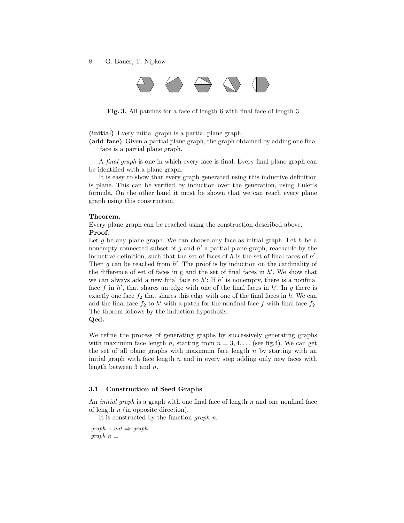8 G. Bauer, T. Nipkow



Fig. 3. All patches for a face of length 6 with final face of length 3

<span id="page-7-0"></span>(initial) Every initial graph is a partial plane graph.

(add face) Given a partial plane graph, the graph obtained by adding one final face is a partial plane graph.

A final graph is one in which every face is final. Every final plane graph can be identified with a plane graph.

It is easy to show that every graph generated using this inductive definition is plane. This can be verified by induction over the generation, using Euler's formula. On the other hand it must be shown that we can reach every plane graph using this construction.

#### Theorem.

Every plane graph can be reached using the construction described above.

## Proof.

Let q be any plane graph. We can choose any face as initial graph. Let  $h$  be a nonempty connected subset of g and  $h'$  a partial plane graph, reachable by the inductive definition, such that the set of faces of  $h$  is the set of final faces of  $h'$ . Then  $g$  can be reached from  $h'$ . The proof is by induction on the cardinality of the difference of set of faces in  $g$  and the set of final faces in  $h'$ . We show that we can always add a new final face to  $h'$ : If  $h'$  is nonempty, there is a nonfinal face f in  $h'$ , that shares an edge with one of the final faces in  $h'$ . In g there is exactly one face  $f_2$  that shares this edge with one of the final faces in h. We can add the final face  $f_2$  to  $h'$  with a patch for the nonfinal face f with final face  $f_2$ . The thorem follows by the induction hypothesis. Qed.

We refine the process of generating graphs by successively generating graphs with maximum face length n, starting from  $n = 3, 4, \ldots$  (see fig[.4\)](#page-8-0). We can get the set of all plane graphs with maximum face length  $n$  by starting with an initial graph with face length  $n$  and in every step adding only new faces with length between 3 and n.

## 3.1 Construction of Seed Graphs

An *initial graph* is a graph with one final face of length  $n$  and one nonfinal face of length  $n$  (in opposite direction).

It is constructed by the function graph n.

 $graph :: nat \Rightarrow graph$ graph  $n \equiv$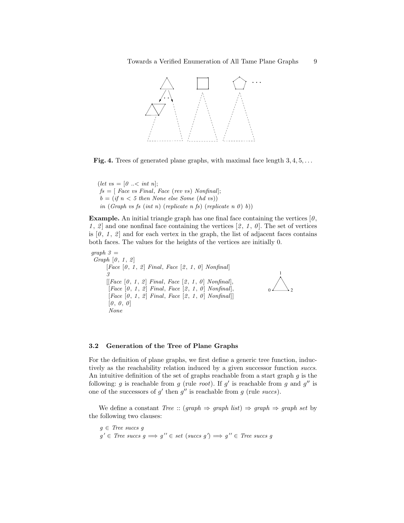

<span id="page-8-0"></span>Fig. 4. Trees of generated plane graphs, with maximal face length  $3, 4, 5, \ldots$ 

(let  $vs = [0 \dots < int n]$ ;  $fs = [Face vs Final, Face (rev vs) Nonfinal];$  $b = (if n < 5 then None else Some (hd vs))$ in (Graph vs fs (int n) (replicate n fs) (replicate n 0) b))

**Example.** An initial triangle graph has one final face containing the vertices  $[0, \cdot]$ 1, 2 and one nonfinal face containing the vertices  $[2, 1, 0]$ . The set of vertices is  $[0, 1, 2]$  and for each vertex in the graph, the list of adjacent faces contains both faces. The values for the heights of the vertices are initially 0.

 $graph 3 =$ Graph  $[0, 1, 2]$  $[Face [0, 1, 2] Final, Face [2, 1, 0] Nonfinal]$ 3  $[[Face [0, 1, 2] Final, Face [2, 1, 0] Nonfinal],$ [Face  $[0, 1, 2]$  Final, Face  $[2, 1, 0]$  Nonfinal],  $[Face [0, 1, 2] Final, Face [2, 1, 0] Nonfinal]$  $[0, 0, 0]$ None



#### 3.2 Generation of the Tree of Plane Graphs

For the definition of plane graphs, we first define a generic tree function, inductively as the reachability relation induced by a given successor function succs. An intuitive definition of the set of graphs reachable from a start graph  $g$  is the following: g is reachable from g (rule root). If  $g'$  is reachable from g and  $g''$  is one of the successors of  $g'$  then  $g''$  is reachable from  $g$  (rule succs).

We define a constant  $Tree :: (graph \Rightarrow graph list) \Rightarrow graph \Rightarrow graph set by$ the following two clauses:

 $g \in Tree$  succs g  $g' \in$  Tree succs  $g \implies g'' \in set$  (succs  $g' \implies g'' \in$  Tree succs g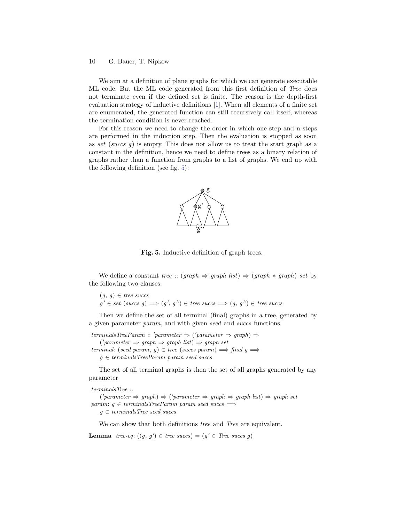We aim at a definition of plane graphs for which we can generate executable ML code. But the ML code generated from this first definition of Tree does not terminate even if the defined set is finite. The reason is the depth-first evaluation strategy of inductive definitions [\[1\]](#page-24-3). When all elements of a finite set are enumerated, the generated function can still recursively call itself, whereas the termination condition is never reached.

For this reason we need to change the order in which one step and n steps are performed in the induction step. Then the evaluation is stopped as soon as set (succs  $g$ ) is empty. This does not allow us to treat the start graph as a constant in the definition, hence we need to define trees as a binary relation of graphs rather than a function from graphs to a list of graphs. We end up with the following definition (see fig. [5\)](#page-9-0):



<span id="page-9-0"></span>Fig. 5. Inductive definition of graph trees.

We define a constant tree ::  $(graph \Rightarrow graph \; list) \Rightarrow (graph * graph) \; set \; by$ the following two clauses:

 $(g, g) \in tree$  succs  $g' \in set \ (success \ g) \Longrightarrow (g', g'') \in tree \ success \Longrightarrow (g, g'') \in tree \ success$ 

Then we define the set of all terminal (final) graphs in a tree, generated by a given parameter param, and with given seed and succs functions.

 $terminals TreeParam :: 'parameter \Rightarrow ('parameter \Rightarrow graph) \Rightarrow$  $('parameter \Rightarrow graph \Rightarrow graph list) \Rightarrow graph set$ terminal: (seed param, g)  $\in$  tree (succs param)  $\implies$  final g  $\implies$  $g \in terminalsTreeParam$  param seed succs

The set of all terminal graphs is then the set of all graphs generated by any parameter

terminalsTree ::

 $('parameter \Rightarrow graph) \Rightarrow ('parameter \Rightarrow graph \Rightarrow graph list) \Rightarrow graph set$ param:  $g \in terminalsTreeParam$  param seed succs  $\implies$  $q \in terminalsTree$  seed succs

We can show that both definitions *tree* and *Tree* are equivalent.

**Lemma** tree-eq:  $((g, g') \in tree \: success) = (g' \in Tree \: success \: g)$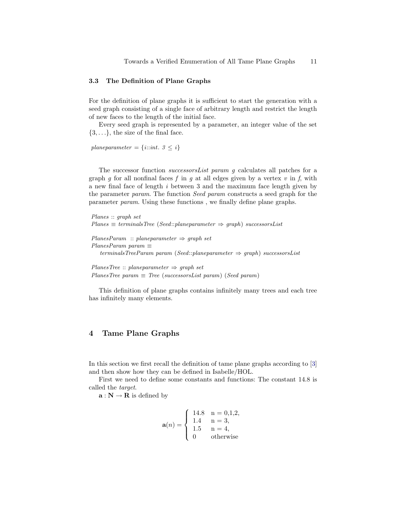#### 3.3 The Definition of Plane Graphs

For the definition of plane graphs it is sufficient to start the generation with a seed graph consisting of a single face of arbitrary length and restrict the length of new faces to the length of the initial face.

Every seed graph is represented by a parameter, an integer value of the set  $\{3,\ldots\}$ , the size of the final face.

planeparameter =  $\{i::int. 3 \leq i\}$ 

The successor function successorsList param g calculates all patches for a graph g for all nonfinal faces f in g at all edges given by a vertex  $v$  in f, with a new final face of length i between 3 and the maximum face length given by the parameter param. The function Seed param constructs a seed graph for the parameter param. Using these functions , we finally define plane graphs.

```
Planes :: graph set
Planes \equiv terminalsTree (Seed::planeparameter \Rightarrow graph) successorsList
PlanesParam :: planeparameter \Rightarrow graph setPlanesParam param \equivterminalsTreeParam param (Seed::planeparameter \Rightarrow graph) successorsList
PlanesTree :: planeparameter \Rightarrow graph setPlanesTree param \equiv Tree (successorsList param) (Seed param)
```
This definition of plane graphs contains infinitely many trees and each tree has infinitely many elements.

# <span id="page-10-0"></span>4 Tame Plane Graphs

In this section we first recall the definition of tame plane graphs according to [\[3\]](#page-24-2) and then show how they can be defined in Isabelle/HOL.

First we need to define some constants and functions: The constant 14.8 is called the target.

 $\mathbf{a} : \mathbf{N} \to \mathbf{R}$  is defined by

$$
\mathbf{a}(n) = \begin{cases} 14.8 & n = 0,1,2, \\ 1.4 & n = 3, \\ 1.5 & n = 4, \\ 0 & \text{otherwise} \end{cases}
$$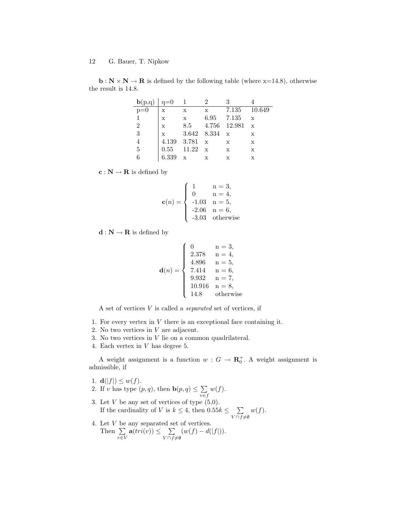$\mathbf{b} : \mathbf{N} \times \mathbf{N} \to \mathbf{R}$  is defined by the following table (where x=14.8), otherwise the result is 14.8.

| ${\bf b}(p,q) \mid q=0$ |              |                   |              |                |              |
|-------------------------|--------------|-------------------|--------------|----------------|--------------|
| $\overline{p=0}$        | X            | X                 | $\mathbf{x}$ | 7.135 10.649   |              |
|                         | $\mathbf x$  | $\mathbf x$       |              | 6.95 7.135     | $\mathbf{x}$ |
| 2                       | $\mathbf x$  | 8.5               |              | 4.756 12.981 x |              |
| 3                       | $\mathbf{x}$ | $3.642$ $8.334$ x |              |                | $\mathbf x$  |
|                         |              | 4.139 3.781 x     |              | $\mathbf{x}$   | X            |
| 5                       |              | $0.55$ 11.22 x    |              | $\mathbf{x}$   | X            |
|                         | 6.339        | $\mathbf{x}$      |              | Х              | X            |

 $\mathbf{c} : \mathbf{N} \to \mathbf{R}$  is defined by

$$
\mathbf{c}(n) = \begin{cases} 1 & n = 3, \\ 0 & n = 4, \\ -1.03 & n = 5, \\ -2.06 & n = 6, \\ -3.03 & \text{otherwise} \end{cases}
$$

 $\mathbf{d}:\mathbf{N}\rightarrow \mathbf{R}$  is defined by

d(n) = 0 n = 3, 2.378 n = 4, 4.896 n = 5, 7.414 n = 6, 9.932 n = 7, 10.916 n = 8, 14.8 otherwise

A set of vertices  $V$  is called a *separated* set of vertices, if

- 1. For every vertex in  $V$  there is an exceptional face containing it.
- 2. No two vertices in V are adjacent.
- 3. No two vertices in V lie on a common quadrilateral.
- 4. Each vertex in V has degree 5.

A weight assignment is a function  $w: G \to \mathbf{R}_0^+$ . A weight assignment is admissible, if

- 1.  $\mathbf{d}(|f|) \leq w(f)$ .
- 2. If v has type  $(p, q)$ , then  $\mathbf{b}(p, q) \leq \sum$ v∈f  $w(f).$
- 3. Let  $V$  be any set of vertices of type  $(5,0)$ . If the cardinality of V is  $k \leq 4$ , then  $0.55k \leq \sum$  $V\cap f\neq\emptyset$  $w(f).$
- 4. Let V be any separated set of vertices. Then  $\Sigma$ v∈V  $\mathbf{a}(tri(v)) \leq \sum$  $V \cap f \neq \emptyset$  $(w(f) - d(|f|)).$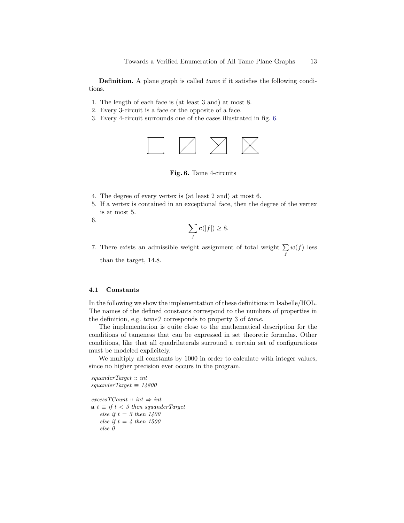Definition. A plane graph is called *tame* if it satisfies the following conditions.

- 1. The length of each face is (at least 3 and) at most 8.
- 2. Every 3-circuit is a face or the opposite of a face.
- 3. Every 4-circuit surrounds one of the cases illustrated in fig. [6.](#page-12-0)



<span id="page-12-0"></span>Fig. 6. Tame 4-circuits

- 4. The degree of every vertex is (at least 2 and) at most 6.
- 5. If a vertex is contained in an exceptional face, then the degree of the vertex is at most 5.

6.

$$
\sum_{f} \mathbf{c}(|f|) \ge 8.
$$

7. There exists an admissible weight assignment of total weight  $\Sigma$ f  $w(f)$  less than the target, 14.8.

### 4.1 Constants

In the following we show the implementation of these definitions in Isabelle/HOL. The names of the defined constants correspond to the numbers of properties in the definition, e.g.  $tame3$  corresponds to property 3 of  $tame$ .

The implementation is quite close to the mathematical description for the conditions of tameness that can be expressed in set theoretic formulas. Other conditions, like that all quadrilaterals surround a certain set of configurations must be modeled explicitely.

We multiply all constants by 1000 in order to calculate with integer values, since no higher precision ever occurs in the program.

squanderTarget :: int  $squareTarget \equiv 14800$ 

 $excessTCount :: int \Rightarrow int$  $\mathbf{a} t \equiv \text{if } t < \text{if } 3 \text{ then } \text{square}$ else if  $t = 3$  then  $1400$ else if  $t = 4$  then 1500 else 0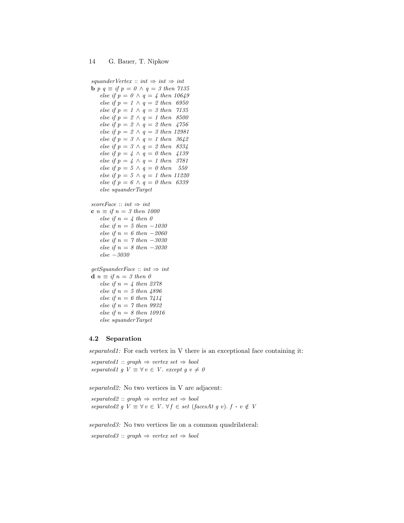```
squanderVertex :: int \Rightarrow int \Rightarrow intb p q \equiv if p = 0 \land q = 3 then 7135
   else if p = 0 \land q = 4 then 10649
   else if p = 1 \wedge q = 2 then 6950
   else if p = 1 \wedge q = 3 then 7135
   else if p = 2 \land q = 1 then 8500
   else if p = 2 \wedge q = 2 then 4756
   else if p = 2 \wedge q = 3 then 12981
   else if p = 3 \land q = 1 then 3642else if p = 3 \wedge q = 2 then 8334
   else if p = 4 \land q = 0 then 4139
   else if p = 4 \land q = 1 then 3781
   else if p = 5 \land q = 0 then 550
   else if p = 5 \land q = 1 then 11220
   else if p = 6 \land q = 0 then 6339
   else squanderTarget
scoreFace :: int \Rightarrow intc n \equiv if n = 3 then 1000else if n = 4 then 0
   else if n = 5 then -1030else if n = 6 then -2060else if n = 7 then -3030else if n = 8 then -3030else −3030
getSquareFace :: int \Rightarrow intd n \equiv if n = 3 then 0else if n = 4 then 2378
   else if n = 5 then 4896else if n = 6 then 7414else if n = 7 then 9932
   else if n = 8 then 10916
   else squanderTarget
```
# 4.2 Separation

separated1: For each vertex in V there is an exceptional face containing it:

separated1 :: graph  $\Rightarrow$  vertex set  $\Rightarrow$  bool separated1 g  $V \equiv \forall v \in V$ . except g  $v \neq 0$ 

separated2: No two vertices in V are adjacent:

 $separated2 :: graph \Rightarrow vertex set \Rightarrow bool$ separated2 g  $V \equiv \forall v \in V$ .  $\forall f \in set$  (facesAt g v).  $f \cdot v \notin V$ 

separated3: No two vertices lie on a common quadrilateral:

 $separated3 :: graph \Rightarrow vertex set \Rightarrow bool$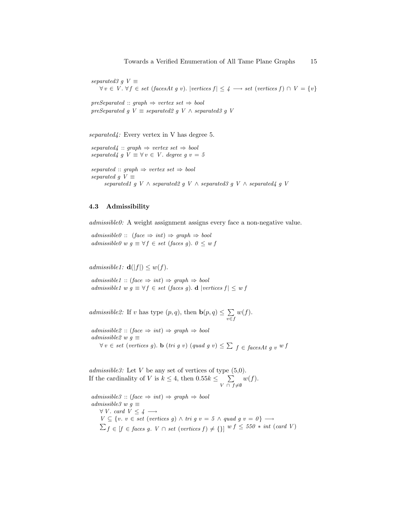separated3 g  $V \equiv$  $\forall v \in V$ .  $\forall f \in set \ (facesAt \ g \ v)$ . |vertices  $f \mid \leq 4 \longrightarrow set \ (vertices \ f) \cap V = \{v\}$ 

 $preSeparated :: graph \Rightarrow vertex set \Rightarrow bool$ preSeparated g  $V \equiv$  separated2 g  $V \wedge$  separated3 g  $V$ 

separated $\frac{d}{dx}$ : Every vertex in V has degree 5.

 $separated$  :: graph  $\Rightarrow$  vertex set  $\Rightarrow$  bool separated $4 \ g \ V \equiv \forall v \in V$ . degree  $g \ v = 5$ 

separated :: graph  $\Rightarrow$  vertex set  $\Rightarrow$  bool separated g  $V \equiv$ separated1 g V  $\land$  separated2 g V  $\land$  separated3 g V  $\land$  separated4 g V

# 4.3 Admissibility

admissible0: A weight assignment assigns every face a non-negative value.

 $admissible0 :: (face \Rightarrow int) \Rightarrow graph \Rightarrow bool$ admissible0 w  $g \equiv \forall f \in set$  (faces g).  $0 \leq w f$ 

admissible1:  $\mathbf{d}(|f|) \leq w(f)$ .

 $admissible1 :: (face \Rightarrow int) \Rightarrow graph \Rightarrow bool$ admissible1 w  $g \equiv \forall f \in set$  (faces g). d |vertices  $f \leq w f$ 

admissible2: If v has type  $(p, q)$ , then  $\mathbf{b}(p, q) \leq \sum$ v∈f  $w(f).$ 

 $admissible2 :: (face \Rightarrow int) \Rightarrow graph \Rightarrow bool$ admissible2 w  $g \equiv$  $\forall v \in set \ (vertices \ g)$ . **b**  $(tri \ g \ v) \ (quad \ g \ u) \leq \sum f \in facesAt \ g \ v \ w \ f$ 

admissible3: Let V be any set of vertices of type  $(5,0)$ . If the cardinality of V is  $k \leq 4$ , then  $0.55k \leq \sum$  $V \cap f \neq \emptyset$  $w(f).$ 

 $admissible3 :: (face \Rightarrow int) \Rightarrow graph \Rightarrow bool$ admissible3 w  $q \equiv$  $\forall V. \; card \; V \leq 4 \longrightarrow$  $V \subseteq \{v. \ v \in set \ (vertices \ g) \land \ tri \ g \ v = 5 \land \ quad \ g \ v = 0 \} \longrightarrow$  $\sum_{f} \in [f \in \mathit{faces}\; g. \; V \cap \mathit{set}\; (vertices \; f) \neq \{\}] \; w \; f \leq 550 \; * \; int \; (card \; V)$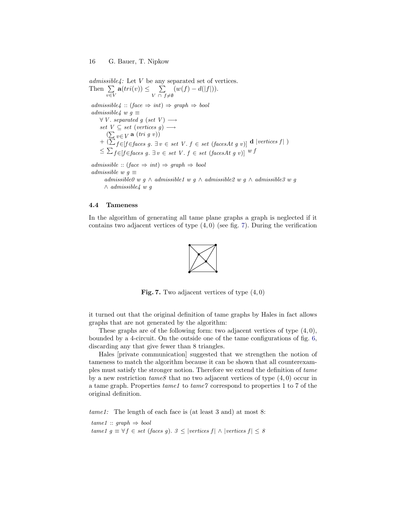$admissible$ : Let V be any separated set of vertices. Then  $\Sigma$ v∈V  $\mathbf{a}(tri(v)) \leq \sum$  $V$  ∩  $f \neq \emptyset$  $(w(f) - d(|f|)).$  $admissible4 :: (face \Rightarrow int) \Rightarrow graph \Rightarrow bool$ admissible4 w  $g \equiv$  $\forall V.$  separated g (set V)  $\longrightarrow$ set  $V \subseteq set$  (vertices g)  $\longrightarrow$  $(\sum_{v \in V} a (tri \ g \ v))$ <br>+  $(\sum_{f \in [f \in faces \ g. \ \exists v \in set \ V. \ f \in set (facesAt \ g \ v)] \ d \vert vertices f \vert)$  $\leq \sum_{f \in [f \in faces\ g. \ \exists\ v \in \ set\ V.\ f \in \ set\ (facesAt\ g\ v)]^{wf}$  $admissible :: (face \Rightarrow int) \Rightarrow graph \Rightarrow bool$ admissible w  $q \equiv$ 

admissible0 w g ∧ admissible1 w g ∧ admissible2 w g ∧ admissible3 w g  $\wedge$  admissible4 w q

#### <span id="page-15-0"></span>4.4 Tameness

In the algorithm of generating all tame plane graphs a graph is neglected if it contains two adjacent vertices of type  $(4, 0)$  (see fig. [7\)](#page-15-1). During the verification

<span id="page-15-1"></span>

**Fig. 7.** Two adjacent vertices of type  $(4, 0)$ 

it turned out that the original definition of tame graphs by Hales in fact allows graphs that are not generated by the algorithm:

These graphs are of the following form: two adjacent vertices of type  $(4, 0)$ , bounded by a 4-circuit. On the outside one of the tame configurations of fig. [6,](#page-12-0) discarding any that give fewer than 8 triangles.

Hales [private communication] suggested that we strengthen the notion of tameness to match the algorithm because it can be shown that all counterexamples must satisfy the stronger notion. Therefore we extend the definition of tame by a new restriction  $tame8$  that no two adjacent vertices of type  $(4, 0)$  occur in a tame graph. Properties tame1 to tame7 correspond to properties 1 to 7 of the original definition.

tame1: The length of each face is (at least 3 and) at most 8:

 $tame1 :: graph \Rightarrow bool$ tame1 g  $\equiv \forall f \in set$  (faces g). 3 ≤ |vertices f| ∧ |vertices f| ≤ 8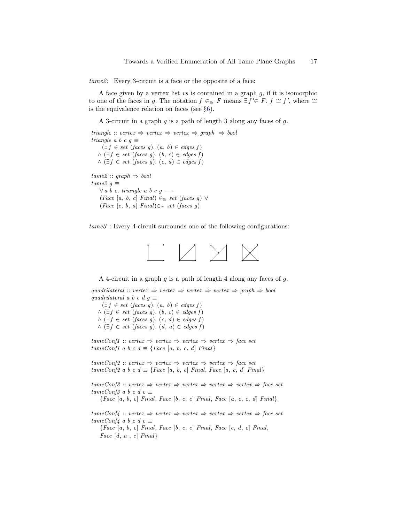tame2: Every 3-circuit is a face or the opposite of a face:

A face given by a vertex list  $vs$  is contained in a graph  $g$ , if it is isomorphic to one of the faces in g. The notation  $f \in \mathcal{F}$  means  $\exists f' \in F$ .  $f \cong f'$ , where  $\cong$ is the equivalence relation on faces (see §[6\)](#page-22-0).

A 3-circuit in a graph  $g$  is a path of length 3 along any faces of  $g$ .

```
triangle :: vertex \Rightarrow vertex \Rightarrow vertex \Rightarrow graph \Rightarrow bool
triangle a b c g \equiv(\exists f \in set \ (faces \ g). \ (a, b) \in edges \ f)\wedge (\exists f \in set \ (faces \ g). \ (b, c) \in edges \ f)\wedge \left( \exists f \in set \ (faces \ g) \ldotp (c, a) \in edges \ f \right)tame2 :: graph \Rightarrow booltame2\ g \equiv\forall a \ b \ c. \ triangle \ a \ b \ c \ g \longrightarrow(Face [a, b, c] Final) \in \cong set (faces g) ∨(Face [c, b, a] Final) \in \cong set (faces g)
```
tame3 : Every 4-circuit surrounds one of the following configurations:



A 4-circuit in a graph  $q$  is a path of length 4 along any faces of  $q$ .

quadrilateral :: vertex  $\Rightarrow$  vertex  $\Rightarrow$  vertex  $\Rightarrow$  vertex  $\Rightarrow$  graph  $\Rightarrow$  bool quadrilateral a b c d  $g \equiv$ 

 $(\exists f \in set \ (faces \ g). \ (a, b) \in edges \ f)$  $∧$  ( $\exists f \in set$  (faces g).  $(b, c) \in edges f$ )  $∧$  ( $\exists f \in set$  (faces g).  $(c, d) \in edges f$ )  $\wedge \left( \exists f \in set \ (faces \ g) \ldotp (d, a) \in edges \ f \right)$ 

 $tameConf1 :: vertex \Rightarrow vertex \Rightarrow vertex \Rightarrow vertex \Rightarrow vertex \Rightarrow face set$  $tameConf1$  a b c  $d \equiv \{Face \, [a, b, c, d] \, Final\}$ 

 $tameConf2 :: vertex \Rightarrow vertex \Rightarrow vertex \Rightarrow vertex \Rightarrow vertex \Rightarrow face set$  $tameConf2$  a b c  $d \equiv \{Face \, [a, b, c] \, Final, \, Face \, [a, c, d] \, Final\}$ 

 $tameConf3 :: vertex \Rightarrow vertex \Rightarrow vertex \Rightarrow vertex \Rightarrow vertex \Rightarrow vertex \Rightarrow a$  $tameConf3$  a b c d e  $\equiv$ 

 ${Face [a, b, e] Final, Face [b, c, e] Final, Face [a, e, c, d] Final}$ 

 $tameConf4 :: vertex \Rightarrow vertex \Rightarrow vertex \Rightarrow vertex \Rightarrow vertex \Rightarrow vertex \Rightarrow vertex \Rightarrow x$  $tameConf4$  a b c d e  $\equiv$  ${Face [a, b, e] Final, Face [b, c, e] Final, Face [c, d, e] Final,$ Face  $[d, a, e]$  Final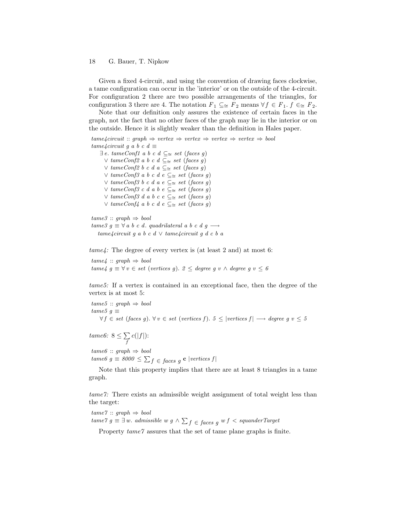Given a fixed 4-circuit, and using the convention of drawing faces clockwise, a tame configuration can occur in the 'interior' or on the outside of the 4-circuit. For configuration 2 there are two possible arrangements of the triangles, for configuration 3 there are 4. The notation  $F_1 \subseteq \simeq F_2$  means  $\forall f \in F_1$ .  $f \in \simeq F_2$ .

Note that our definition only assures the existence of certain faces in the graph, not the fact that no other faces of the graph may lie in the interior or on the outside. Hence it is slightly weaker than the definition in Hales paper.

 $tame4circuit :: graph \Rightarrow vertex \Rightarrow vertex \Rightarrow vertex \Rightarrow vertex \Rightarrow bool$  $tame4circuit\ g\ a\ b\ c\ d\equiv$ ∃ e. tameConf1 a b c d ⊆<sup>∼</sup><sup>=</sup> set (faces g) ∨ tameConf2 a b c d ⊆<sup>∼</sup><sup>=</sup> set (faces g) ∨ tameConf2 b c d a ⊆<sup>∼</sup><sup>=</sup> set (faces g) ∨ tameConf3 a b c d e ⊆<sup>∼</sup><sup>=</sup> set (faces g) ∨ tameConf3 b c d a e ⊆<sup>∼</sup><sup>=</sup> set (faces g) ∨ tameConf3 c d a b e ⊆<sup>∼</sup><sup>=</sup> set (faces g) ∨ tameConf3 d a b c e ⊆<sup>∼</sup><sup>=</sup> set (faces g) ∨ tameConf4 a b c d e ⊆<sup>∼</sup><sup>=</sup> set (faces g)  $tame3 :: graph \Rightarrow bool$ tame3  $g \equiv \forall a \ b \ c \ d.$  quadrilateral a b c d  $g \rightarrow$ 

tame4circuit q a b c d  $\vee$  tame4circuit q d c b a

tame4: The degree of every vertex is (at least 2 and) at most 6:

 $tame4 :: graph \Rightarrow bool$ tame4 g  $\equiv \forall v \in set$  (vertices g). 2 ≤ degree g v ∧ degree g v ≤ 6

tame5: If a vertex is contained in an exceptional face, then the degree of the vertex is at most 5:

 $tame5 :: graph \Rightarrow bool$  $tame5 g \equiv$  $\forall f \in set \ (faces \ g) \colon \forall v \in set \ (vertices \ f) \colon 5 \le |vertices \ f| \longrightarrow degree \ g \ v \le 5$ 

tame6:  $8 \leq \sum$ f  $c(|f|)$ :

 $tame6 :: graph \Rightarrow bool$ 

tame $6 \ g \equiv 8000 \leq \sum_{f} \epsilon_{faces} \ g \ {\bf c} \ |vertices \ f|$ 

Note that this property implies that there are at least 8 triangles in a tame graph.

tame7: There exists an admissible weight assignment of total weight less than the target:

 $tame7 :: graph \Rightarrow bool$  $tame\gamma$   $g \equiv \exists w.$  admissible w  $g \wedge \sum_{f}{\in faces\,\,}g}$  w  $f < squad$  squander Target

Property  $tame\%$  assures that the set of tame plane graphs is finite.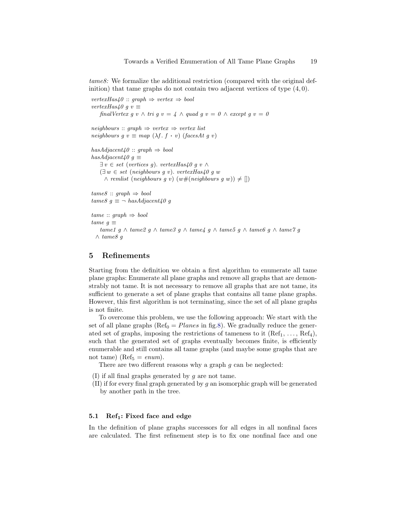tame8: We formalize the additional restriction (compared with the original definition) that tame graphs do not contain two adjacent vertices of type  $(4, 0)$ .

```
vertexHas40 :: graph \Rightarrow vertex \Rightarrow boolvertexHas40 q v \equivfinalVertex g v \wedge tri g v = 4 \wedge quad g v = 0 \wedge except g v = 0
neighbors :: graph \Rightarrow vertex \Rightarrow vertex listneighbours g v \equiv map (\lambda f. f \cdot v) (faces At g v)
hasAdjacent40 :: graph \Rightarrow bool
hasAdjacent40 q \equiv\exists v \in set (vertices g). vertexHas40 g v \wedge(\exists w \in set \ (neighbours\ q\ v). \ vertexHas40\ q\ w)∧ remlist (neighbours g v) (w#(neighbors g w)) \neq []tame8 :: graph \Rightarrow booltame8 q \equiv \neg has Adjacent 40 q
tame :: graph \Rightarrow booltame q \equivtame1 g ∧ tame2 g ∧ tame3 g ∧ tame4 g ∧ tame5 g ∧ tame6 g ∧ tame7 g
```

```
∧ tame8 g
```
# <span id="page-18-0"></span>5 Refinements

Starting from the definition we obtain a first algorithm to enumerate all tame plane graphs: Enumerate all plane graphs and remove all graphs that are demonstrably not tame. It is not necessary to remove all graphs that are not tame, its sufficient to generate a set of plane graphs that contains all tame plane graphs. However, this first algorithm is not terminating, since the set of all plane graphs is not finite.

To overcome this problem, we use the following approach: We start with the set of all plane graphs ( $\text{Ref}_0 = Planes$  in fig[.8\)](#page-19-0). We gradually reduce the generated set of graphs, imposing the restrictions of tameness to it  $(Ref<sub>1</sub>, ..., Ref<sub>4</sub>),$ such that the generated set of graphs eventually becomes finite, is efficiently enumerable and still contains all tame graphs (and maybe some graphs that are not tame) (Ref<sub>5</sub> =  $enum$ ).

There are two different reasons why a graph  $q$  can be neglected:

(I) if all final graphs generated by  $q$  are not tame.

 $(II)$  if for every final graph generated by g an isomorphic graph will be generated by another path in the tree.

#### 5.1 Ref<sub>1</sub>: Fixed face and edge

In the definition of plane graphs successors for all edges in all nonfinal faces are calculated. The first refinement step is to fix one nonfinal face and one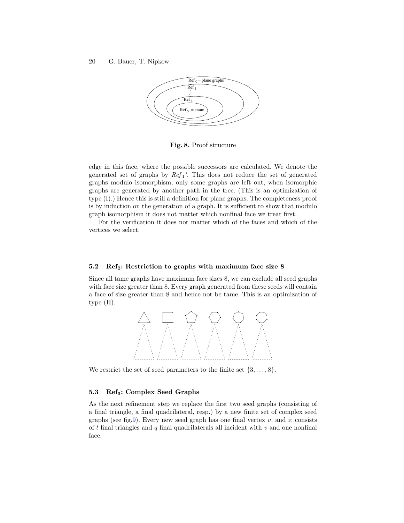

<span id="page-19-0"></span>Fig. 8. Proof structure

edge in this face, where the possible successors are calculated. We denote the generated set of graphs by  $Ref_1'$ . This does not reduce the set of generated graphs modulo isomorphism, only some graphs are left out, when isomorphic graphs are generated by another path in the tree. (This is an optimization of type (I).) Hence this is still a definition for plane graphs. The completeness proof is by induction on the generation of a graph. It is sufficient to show that modulo graph isomorphism it does not matter which nonfinal face we treat first.

For the verification it does not matter which of the faces and which of the vertices we select.

#### 5.2 Ref<sub>2</sub>: Restriction to graphs with maximum face size 8

Since all tame graphs have maximum face sizes 8, we can exclude all seed graphs with face size greater than 8. Every graph generated from these seeds will contain a face of size greater than 8 and hence not be tame. This is an optimization of type (II).



We restrict the set of seed parameters to the finite set  $\{3, \ldots, 8\}$ .

### 5.3 Ref<sub>3</sub>: Complex Seed Graphs

As the next refinement step we replace the first two seed graphs (consisting of a final triangle, a final quadrilateral, resp.) by a new finite set of complex seed graphs (see fig[.9\)](#page-20-0). Every new seed graph has one final vertex  $v$ , and it consists of  $t$  final triangles and  $q$  final quadrilaterals all incident with  $v$  and one nonfinal face.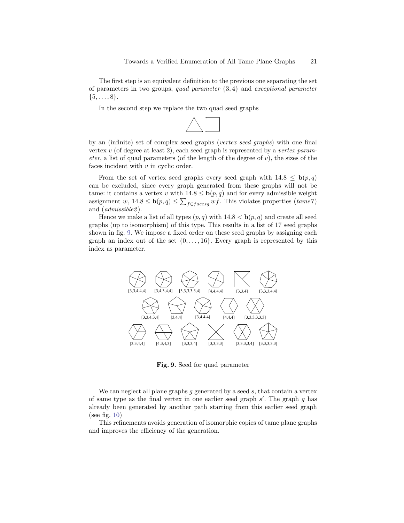The first step is an equivalent definition to the previous one separating the set of parameters in two groups, quad parameter  $\{3, 4\}$  and exceptional parameter  $\{5, \ldots, 8\}.$ 

In the second step we replace the two quad seed graphs



by an (infinite) set of complex seed graphs (vertex seed graphs) with one final vertex  $v$  (of degree at least 2), each seed graph is represented by a vertex parameter, a list of quad parameters (of the length of the degree of  $v$ ), the sizes of the faces incident with  $v$  in cyclic order.

From the set of vertex seed graphs every seed graph with  $14.8 \leq \mathbf{b}(p,q)$ can be excluded, since every graph generated from these graphs will not be tame: it contains a vertex v with  $14.8 \leq \mathbf{b}(p,q)$  and for every admissible weight assignment w,  $14.8 \leq \mathbf{b}(p,q) \leq \sum_{f \in facesg} wf$ . This violates properties  $(tame7)$ and  $(admissible 2)$ .

Hence we make a list of all types  $(p, q)$  with  $14.8 < b(p, q)$  and create all seed graphs (up to isomorphism) of this type. This results in a list of 17 seed graphs shown in fig. [9.](#page-20-0) We impose a fixed order on these seed graphs by assigning each graph an index out of the set  $\{0, \ldots, 16\}$ . Every graph is represented by this index as parameter.



<span id="page-20-0"></span>Fig. 9. Seed for quad parameter

We can neglect all plane graphs  $g$  generated by a seed  $s$ , that contain a vertex of same type as the final vertex in one earlier seed graph  $s'$ . The graph  $g$  has already been generated by another path starting from this earlier seed graph (see fig. [10\)](#page-21-0)

This refinements avoids generation of isomorphic copies of tame plane graphs and improves the efficiency of the generation.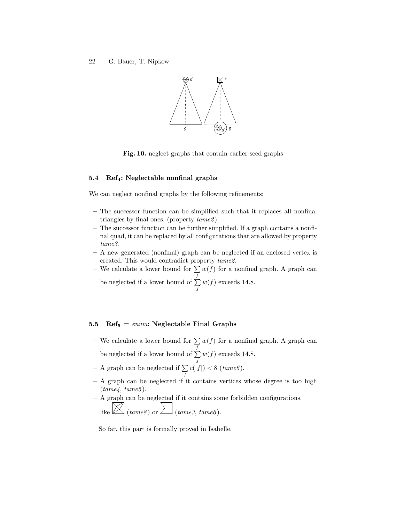

<span id="page-21-0"></span>Fig. 10. neglect graphs that contain earlier seed graphs

# 5.4 Ref<sub>4</sub>: Neglectable nonfinal graphs

We can neglect nonfinal graphs by the following refinements:

- The successor function can be simplified such that it replaces all nonfinal triangles by final ones. (property  $tame2$ )
- The successor function can be further simplified. If a graph contains a nonfinal quad, it can be replaced by all configurations that are allowed by property tame3.
- A new generated (nonfinal) graph can be neglected if an enclosed vertex is created. This would contradict property tame2.
- We calculate a lower bound for  $\sum w(f)$  for a nonfinal graph. A graph can f be neglected if a lower bound of  $\Sigma$  $w(f)$  exceeds 14.8.

f

## 5.5 Ref<sub>5</sub> = enum: Neglectable Final Graphs

- We calculate a lower bound for  $\sum w(f)$  for a nonfinal graph. A graph can f be neglected if a lower bound of  $\Sigma$  $w(f)$  exceeds 14.8.
- f – A graph can be neglected if  $\Sigma$ f  $c(|f|) < 8$  (tame6).
- A graph can be neglected if it contains vertices whose degree is too high  $(tame4, \, tame5).$
- A graph can be neglected if it contains some forbidden configurations, like  $\boxtimes$  (tame8) or  $\sum$  (tame3, tame6).

So far, this part is formally proved in Isabelle.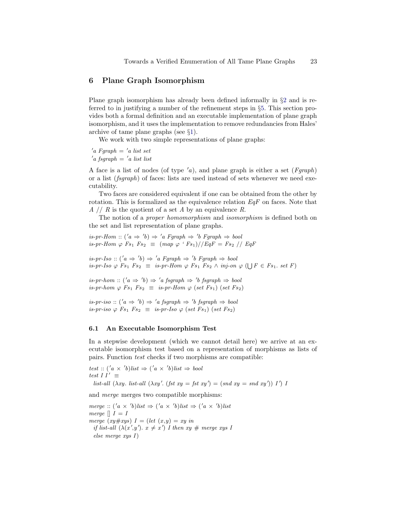## <span id="page-22-0"></span>6 Plane Graph Isomorphism

Plane graph isomorphism has already been defined informally in §[2](#page-2-0) and is referred to in justifying a number of the refinement steps in §[5.](#page-18-0) This section provides both a formal definition and an executable implementation of plane graph isomorphism, and it uses the implementation to remove redundancies from Hales' archive of tame plane graphs (see §[1\)](#page-0-1).

We work with two simple representations of plane graphs:

 $a$  Fgraph =  $'a$  list set  $a$  fsgraph =  $'a$  list list

A face is a list of nodes (of type  $a$ ), and plane graph is either a set (*Fgraph*) or a list (fsgraph) of faces: lists are used instead of sets whenever we need executability.

Two faces are considered equivalent if one can be obtained from the other by rotation. This is formalized as the equivalence relation  $EqF$  on faces. Note that  $A$  //  $R$  is the quotient of a set  $A$  by an equivalence  $R$ .

The notion of a proper homomorphism and isomorphism is defined both on the set and list representation of plane graphs.

is-pr-Hom ::  $(a \Rightarrow 'b) \Rightarrow 'a$  Fgraph  $\Rightarrow 'b$  Fgraph  $\Rightarrow$  bool is-pr-Hom  $\varphi$  Fs<sub>1</sub> Fs<sub>2</sub>  $\equiv$   $(\text{map } \varphi \cdot \text{F}_3)/\sqrt{EqF} = \text{F}_3//\sqrt{EqF}$ 

 $is-pr\text{-}Iso :: ('a \Rightarrow 'b) \Rightarrow 'a Fgraph \Rightarrow 'b Fgraph \Rightarrow bool$ is-pr-Iso  $\varphi$  Fs<sub>1</sub> Fs<sub>2</sub>  $\equiv$  is-pr-Hom  $\varphi$  Fs<sub>1</sub> Fs<sub>2</sub>  $\wedge$  inj-on  $\varphi$  ( $\bigcup F \in F$ s<sub>1</sub>. set F)

is-pr-hom ::  $(a \Rightarrow 'b) \Rightarrow 'a$  fsgraph  $\Rightarrow 'b$  fsgraph  $\Rightarrow$  bool is-pr-hom  $\varphi$  Fs<sub>1</sub> Fs<sub>2</sub>  $\equiv$  is-pr-Hom  $\varphi$  (set Fs<sub>1</sub>) (set Fs<sub>2</sub>)

is-pr-iso ::  $(a \Rightarrow 'b) \Rightarrow 'a \ fsgraph \Rightarrow 'b \ fsgraph \Rightarrow bool$ is-pr-iso  $\varphi$  Fs<sub>1</sub> Fs<sub>2</sub>  $\equiv$  is-pr-Iso  $\varphi$  (set Fs<sub>1</sub>) (set Fs<sub>2</sub>)

#### 6.1 An Executable Isomorphism Test

In a stepwise development (which we cannot detail here) we arrive at an executable isomorphism test based on a representation of morphisms as lists of pairs. Function test checks if two morphisms are compatible:

test ::  $(a \times b)$ list  $\Rightarrow (a \times b)$ list  $\Rightarrow$  bool test I  $I' \equiv$ list-all  $(\lambda xy.$  list-all  $(\lambda xy'.$  (fst  $xy = fst xy') = (snd xy = snd xy')T$ ) I

and merge merges two compatible morphisms:

merge ::  $(a \times b)$ list  $\Rightarrow (a \times b)$ list  $\Rightarrow (a \times b)$ list merge  $\parallel I = I$ merge  $(xy \# xys) I = (let (x,y) = xy in$ if list-all  $(\lambda(x',y') \cdot x \neq x')$  I then  $xy \neq$  merge xys I else merge xys I )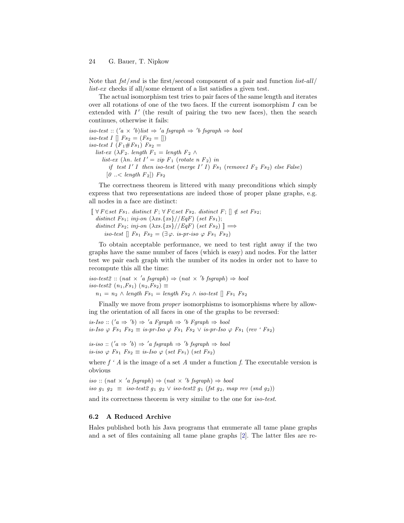Note that  $fst/snd$  is the first/second component of a pair and function  $list-all/$ list-ex checks if all/some element of a list satisfies a given test.

The actual isomorphism test tries to pair faces of the same length and iterates over all rotations of one of the two faces. If the current isomorphism I can be extended with  $I'$  (the result of pairing the two new faces), then the search continues, otherwise it fails:

 $iso-test :: ('a \times 'b) list \Rightarrow 'a fsgraph \Rightarrow 'b fsgraph \Rightarrow bool$ iso-test I  $[| \text{Fs}_2 = (Fs_2 = [])$ iso-test I  $(F_1 \# Fs_1)$   $Fs_2 =$ list-ex ( $\lambda F_2$ . length  $F_1 =$  length  $F_2 \wedge$ list-ex  $(\lambda n. \text{ let } I' = zip \ F_1 \ (rotate \ n \ F_2) \ in$ if test  $I' I$  then iso-test (merge  $I' I$ )  $Fs_1$  (remove1  $F_2$   $Fs_2$ ) else False)  $[0 \dots < length F_2]$  Fs<sub>2</sub>

The correctness theorem is littered with many preconditions which simply express that two representations are indeed those of proper plane graphs, e.g. all nodes in a face are distinct:

 $\lbrack\!\lbrack \,\, \forall\, F \in set\ F s_1.$  distinct  $F; \,\forall\, F \in set\ F s_2.$  distinct  $F; \,\lbrack\!\lbrack \,\, \notin\, set\ F s_2;$ distinct Fs<sub>1</sub>; inj-on  $(\lambda xs.\{xs\}//EqF)$  (set Fs<sub>1</sub>); distinct Fs<sub>2</sub>; inj-on  $(\lambda xs.\{xs\}//EqF)$  (set Fs<sub>2</sub>)  $\mathbb{I} \Longrightarrow$ iso-test  $\parallel Fs_1$   $Fs_2 = (\exists \varphi \cdot \text{is-pr-iso } \varphi \text{ Fs}_1 \text{ Fs}_2)$ 

To obtain acceptable performance, we need to test right away if the two graphs have the same number of faces (which is easy) and nodes. For the latter test we pair each graph with the number of its nodes in order not to have to recompute this all the time:

 $iso-test2 :: (nat \times 'a fsgraph) \Rightarrow (nat \times 'b fsgraph) \Rightarrow bool$ iso-test2  $(n_1, Fs_1)$   $(n_2, Fs_2) \equiv$ 

 $n_1 = n_2 \wedge length Fs_1 = length Fs_2 \wedge iso-test \parallel Fs_1 Fs_2$ 

Finally we move from proper isomorphisms to isomorphisms where by allowing the orientation of all faces in one of the graphs to be reversed:

 $is\text{-}Iso :: ('a \Rightarrow 'b) \Rightarrow 'a \text{ Fgraph} \Rightarrow 'b \text{ Fgraph} \Rightarrow bool$ is-Iso  $\varphi$  Fs<sub>1</sub> Fs<sub>2</sub>  $\equiv$  is-pr-Iso  $\varphi$  Fs<sub>1</sub> Fs<sub>2</sub>  $\vee$  is-pr-Iso  $\varphi$  Fs<sub>1</sub> (rev 'Fs<sub>2</sub>)

 $is-iso :: ('a \Rightarrow 'b) \Rightarrow 'a fsgraph \Rightarrow 'b fsgraph \Rightarrow bool$ is-iso  $\varphi$  Fs<sub>1</sub> Fs<sub>2</sub>  $\equiv$  is-Iso  $\varphi$  (set Fs<sub>1</sub>) (set Fs<sub>2</sub>)

where  $f \nmid A$  is the image of a set A under a function f. The executable version is obvious

iso ::  $(nat \times 'a \text{ fsgraph}) \Rightarrow (nat \times 'b \text{ fsgraph}) \Rightarrow bool$ iso  $g_1$   $g_2$   $\equiv$  iso-test2  $g_1$   $g_2$   $\vee$  iso-test2  $g_1$  (fst  $g_2$ , map rev (snd  $g_2$ ))

and its correctness theorem is very similar to the one for iso-test.

#### 6.2 A Reduced Archive

Hales published both his Java programs that enumerate all tame plane graphs and a set of files containing all tame plane graphs [\[2\]](#page-24-0). The latter files are re